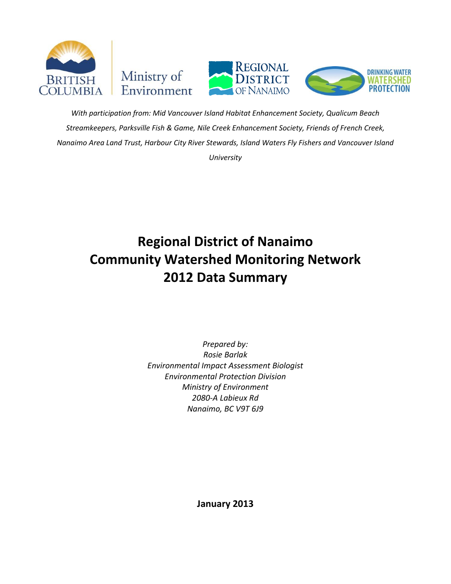





*With participation from: Mid Vancouver Island Habitat Enhancement Society, Qualicum Beach Streamkeepers, Parksville Fish & Game, Nile Creek Enhancement Society, Friends of French Creek, Nanaimo Area Land Trust, Harbour City River Stewards, Island Waters Fly Fishers and Vancouver Island University*

# **Regional District of Nanaimo Community Watershed Monitoring Network 2012 Data Summary**

*Prepared by: Rosie Barlak Environmental Impact Assessment Biologist Environmental Protection Division Ministry of Environment 2080-A Labieux Rd Nanaimo, BC V9T 6J9*

**January 2013**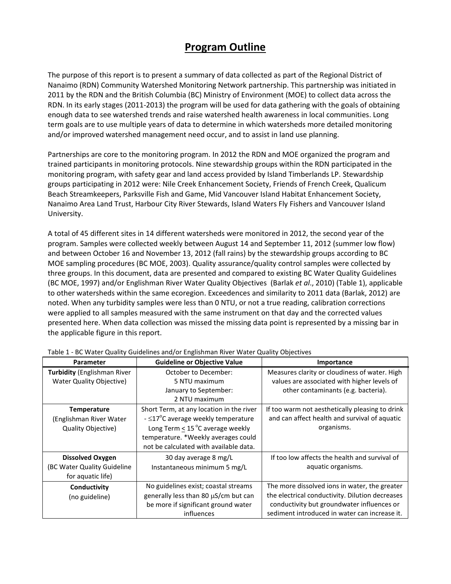# **Program Outline**

The purpose of this report is to present a summary of data collected as part of the Regional District of Nanaimo (RDN) Community Watershed Monitoring Network partnership. This partnership was initiated in 2011 by the RDN and the British Columbia (BC) Ministry of Environment (MOE) to collect data across the RDN. In its early stages (2011-2013) the program will be used for data gathering with the goals of obtaining enough data to see watershed trends and raise watershed health awareness in local communities. Long term goals are to use multiple years of data to determine in which watersheds more detailed monitoring and/or improved watershed management need occur, and to assist in land use planning.

Partnerships are core to the monitoring program. In 2012 the RDN and MOE organized the program and trained participants in monitoring protocols. Nine stewardship groups within the RDN participated in the monitoring program, with safety gear and land access provided by Island Timberlands LP. Stewardship groups participating in 2012 were: Nile Creek Enhancement Society, Friends of French Creek, Qualicum Beach Streamkeepers, Parksville Fish and Game, Mid Vancouver Island Habitat Enhancement Society, Nanaimo Area Land Trust, Harbour City River Stewards, Island Waters Fly Fishers and Vancouver Island University.

A total of 45 different sites in 14 different watersheds were monitored in 2012, the second year of the program. Samples were collected weekly between August 14 and September 11, 2012 (summer low flow) and between October 16 and November 13, 2012 (fall rains) by the stewardship groups according to BC MOE sampling procedures (BC MOE, 2003). Quality assurance/quality control samples were collected by three groups. In this document, data are presented and compared to existing BC Water Quality Guidelines (BC MOE, 1997) and/or Englishman River Water Quality Objectives (Barlak *et al*., 2010) (Table 1), applicable to other watersheds within the same ecoregion. Exceedences and similarity to 2011 data (Barlak, 2012) are noted. When any turbidity samples were less than 0 NTU, or not a true reading, calibration corrections were applied to all samples measured with the same instrument on that day and the corrected values presented here. When data collection was missed the missing data point is represented by a missing bar in the applicable figure in this report.

| <b>Parameter</b>                   | <b>Guideline or Objective Value</b>       | Importance                                      |
|------------------------------------|-------------------------------------------|-------------------------------------------------|
| <b>Turbidity (Englishman River</b> | October to December:                      | Measures clarity or cloudiness of water. High   |
| <b>Water Quality Objective)</b>    | 5 NTU maximum                             | values are associated with higher levels of     |
|                                    | January to September:                     | other contaminants (e.g. bacteria).             |
|                                    | 2 NTU maximum                             |                                                 |
| <b>Temperature</b>                 | Short Term, at any location in the river  | If too warm not aesthetically pleasing to drink |
| (Englishman River Water            | - $\leq$ 17°C average weekly temperature  | and can affect health and survival of aquatic   |
| Quality Objective)                 | Long Term < $15^{\circ}$ C average weekly | organisms.                                      |
|                                    | temperature. *Weekly averages could       |                                                 |
|                                    | not be calculated with available data.    |                                                 |
| <b>Dissolved Oxygen</b>            | 30 day average 8 mg/L                     | If too low affects the health and survival of   |
| (BC Water Quality Guideline        | Instantaneous minimum 5 mg/L              | aquatic organisms.                              |
| for aquatic life)                  |                                           |                                                 |
| Conductivity                       | No guidelines exist; coastal streams      | The more dissolved ions in water, the greater   |
| (no guideline)                     | generally less than 80 µS/cm but can      | the electrical conductivity. Dilution decreases |
|                                    | be more if significant ground water       | conductivity but groundwater influences or      |
|                                    | influences                                | sediment introduced in water can increase it.   |

Table 1 - BC Water Quality Guidelines and/or Englishman River Water Quality Objectives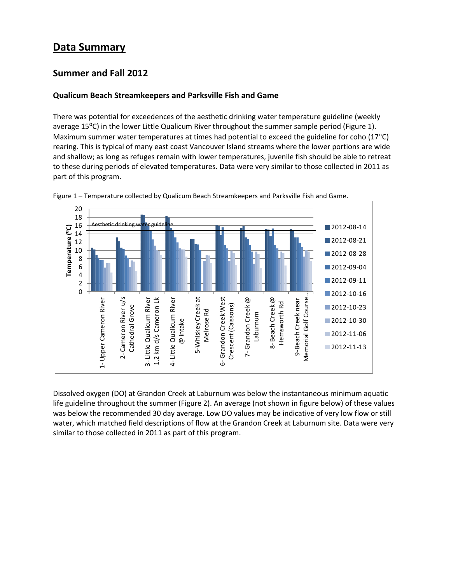# **Data Summary**

### **Summer and Fall 2012**

#### **Qualicum Beach Streamkeepers and Parksville Fish and Game**

There was potential for exceedences of the aesthetic drinking water temperature guideline (weekly average 15<sup>o</sup>C) in the lower Little Qualicum River throughout the summer sample period (Figure 1). Maximum summer water temperatures at times had potential to exceed the guideline for coho (17 $^{\circ}$ C) rearing. This is typical of many east coast Vancouver Island streams where the lower portions are wide and shallow; as long as refuges remain with lower temperatures, juvenile fish should be able to retreat to these during periods of elevated temperatures. Data were very similar to those collected in 2011 as part of this program.





Dissolved oxygen (DO) at Grandon Creek at Laburnum was below the instantaneous minimum aquatic life guideline throughout the summer (Figure 2). An average (not shown in figure below) of these values was below the recommended 30 day average. Low DO values may be indicative of very low flow or still water, which matched field descriptions of flow at the Grandon Creek at Laburnum site. Data were very similar to those collected in 2011 as part of this program.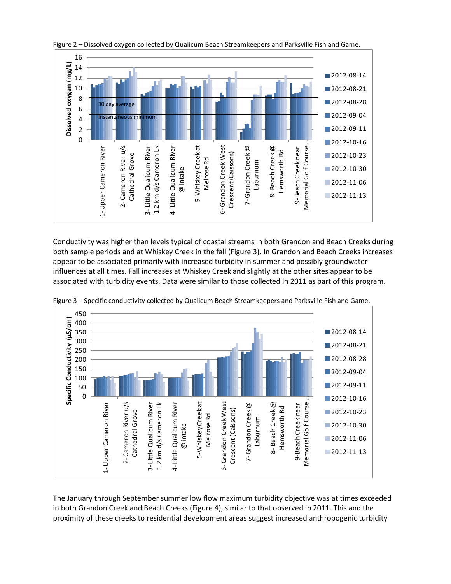

Figure 2 – Dissolved oxygen collected by Qualicum Beach Streamkeepers and Parksville Fish and Game.

Conductivity was higher than levels typical of coastal streams in both Grandon and Beach Creeks during both sample periods and at Whiskey Creek in the fall (Figure 3). In Grandon and Beach Creeks increases appear to be associated primarily with increased turbidity in summer and possibly groundwater influences at all times. Fall increases at Whiskey Creek and slightly at the other sites appear to be associated with turbidity events. Data were similar to those collected in 2011 as part of this program.



Figure 3 – Specific conductivity collected by Qualicum Beach Streamkeepers and Parksville Fish and Game.

The January through September summer low flow maximum turbidity objective was at times exceeded in both Grandon Creek and Beach Creeks (Figure 4), similar to that observed in 2011. This and the proximity of these creeks to residential development areas suggest increased anthropogenic turbidity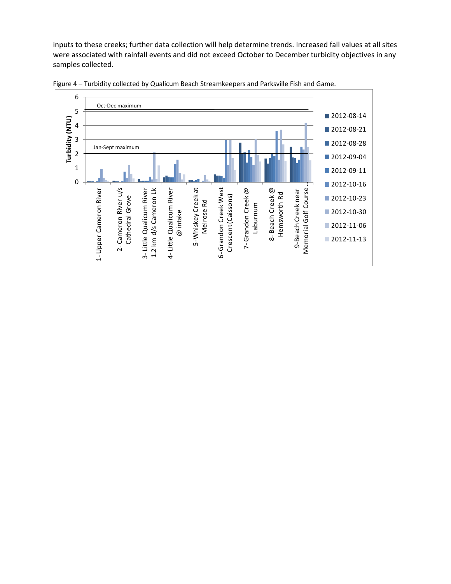inputs to these creeks; further data collection will help determine trends. Increased fall values at all sites were associated with rainfall events and did not exceed October to December turbidity objectives in any samples collected.



Figure 4 – Turbidity collected by Qualicum Beach Streamkeepers and Parksville Fish and Game.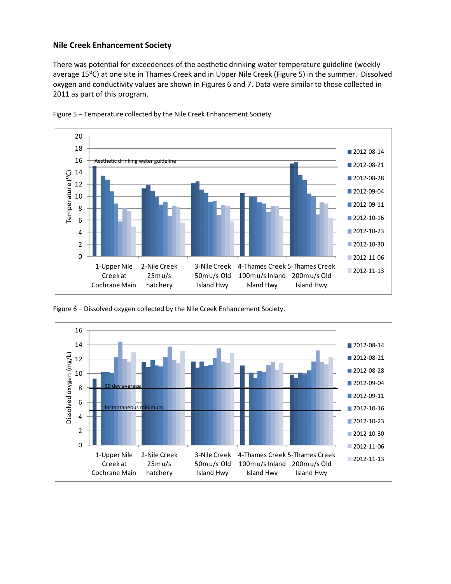#### **Nile Creek Enhancement Society**

There was potential for exceedences of the aesthetic drinking water temperature guideline (weekly average 15<sup>o</sup>C) at one site in Thames Creek and in Upper Nile Creek (Figure 5) in the summer. Dissolved oxygen and conductivity values are shown in Figures 6 and 7. Data were similar to those collected in 2011 as part of this program.



Figure 5 – Temperature collected by the Nile Creek Enhancement Society.



Figure 6 – Dissolved oxygen collected by the Nile Creek Enhancement Society.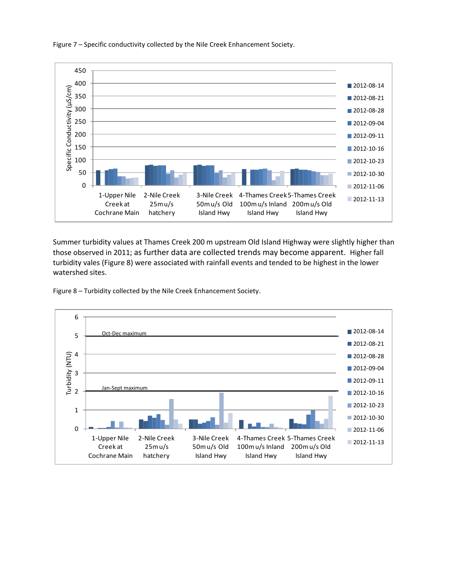Figure 7 – Specific conductivity collected by the Nile Creek Enhancement Society.



Summer turbidity values at Thames Creek 200 m upstream Old Island Highway were slightly higher than those observed in 2011; as further data are collected trends may become apparent. Higher fall turbidity vales (Figure 8) were associated with rainfall events and tended to be highest in the lower watershed sites.

Figure 8 – Turbidity collected by the Nile Creek Enhancement Society.

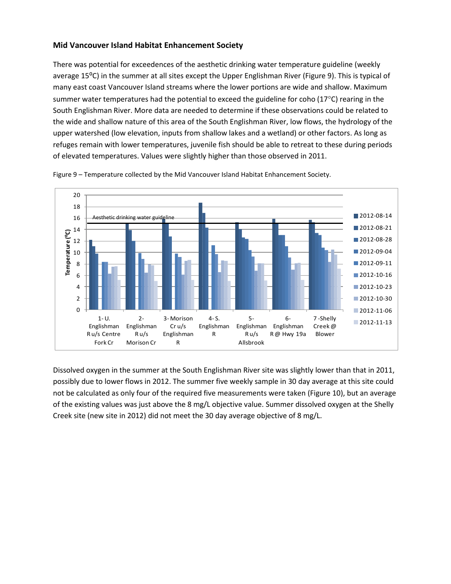#### **Mid Vancouver Island Habitat Enhancement Society**

There was potential for exceedences of the aesthetic drinking water temperature guideline (weekly average 15<sup>o</sup>C) in the summer at all sites except the Upper Englishman River (Figure 9). This is typical of many east coast Vancouver Island streams where the lower portions are wide and shallow. Maximum summer water temperatures had the potential to exceed the guideline for coho ( $17^{\circ}$ C) rearing in the South Englishman River. More data are needed to determine if these observations could be related to the wide and shallow nature of this area of the South Englishman River, low flows, the hydrology of the upper watershed (low elevation, inputs from shallow lakes and a wetland) or other factors. As long as refuges remain with lower temperatures, juvenile fish should be able to retreat to these during periods of elevated temperatures. Values were slightly higher than those observed in 2011.



Figure 9 – Temperature collected by the Mid Vancouver Island Habitat Enhancement Society.

Dissolved oxygen in the summer at the South Englishman River site was slightly lower than that in 2011, possibly due to lower flows in 2012. The summer five weekly sample in 30 day average at this site could not be calculated as only four of the required five measurements were taken (Figure 10), but an average of the existing values was just above the 8 mg/L objective value. Summer dissolved oxygen at the Shelly Creek site (new site in 2012) did not meet the 30 day average objective of 8 mg/L.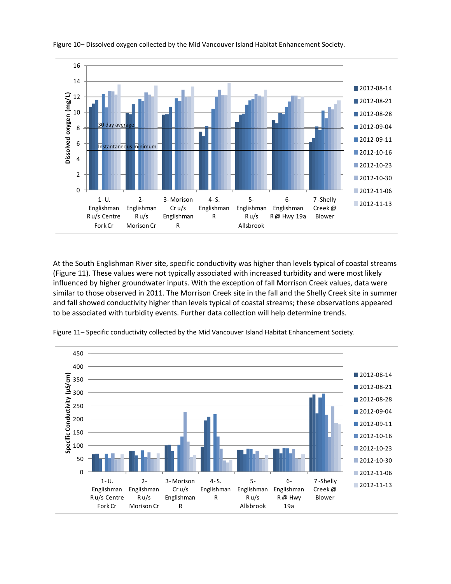

Figure 10– Dissolved oxygen collected by the Mid Vancouver Island Habitat Enhancement Society.

At the South Englishman River site, specific conductivity was higher than levels typical of coastal streams (Figure 11). These values were not typically associated with increased turbidity and were most likely influenced by higher groundwater inputs. With the exception of fall Morrison Creek values, data were similar to those observed in 2011. The Morrison Creek site in the fall and the Shelly Creek site in summer and fall showed conductivity higher than levels typical of coastal streams; these observations appeared to be associated with turbidity events. Further data collection will help determine trends.



Figure 11– Specific conductivity collected by the Mid Vancouver Island Habitat Enhancement Society.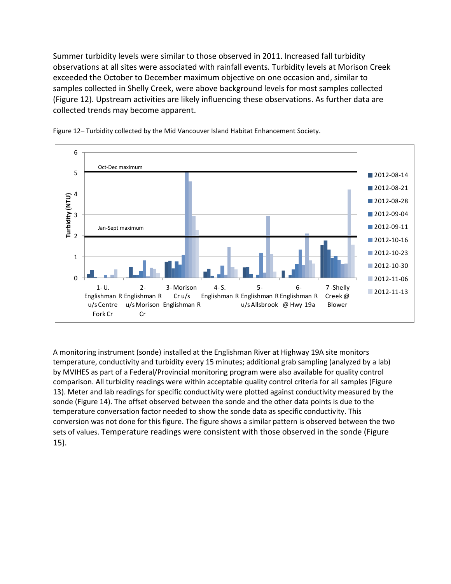Summer turbidity levels were similar to those observed in 2011. Increased fall turbidity observations at all sites were associated with rainfall events. Turbidity levels at Morison Creek exceeded the October to December maximum objective on one occasion and, similar to samples collected in Shelly Creek, were above background levels for most samples collected (Figure 12). Upstream activities are likely influencing these observations. As further data are collected trends may become apparent.





A monitoring instrument (sonde) installed at the Englishman River at Highway 19A site monitors temperature, conductivity and turbidity every 15 minutes; additional grab sampling (analyzed by a lab) by MVIHES as part of a Federal/Provincial monitoring program were also available for quality control comparison. All turbidity readings were within acceptable quality control criteria for all samples (Figure 13). Meter and lab readings for specific conductivity were plotted against conductivity measured by the sonde (Figure 14). The offset observed between the sonde and the other data points is due to the temperature conversation factor needed to show the sonde data as specific conductivity. This conversion was not done for this figure. The figure shows a similar pattern is observed between the two sets of values. Temperature readings were consistent with those observed in the sonde (Figure 15).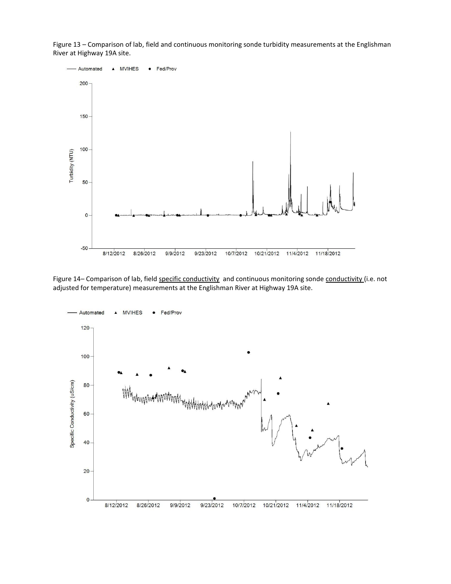Figure 13 – Comparison of lab, field and continuous monitoring sonde turbidity measurements at the Englishman River at Highway 19A site.



Figure 14- Comparison of lab, field specific conductivity and continuous monitoring sonde conductivity (i.e. not adjusted for temperature) measurements at the Englishman River at Highway 19A site.

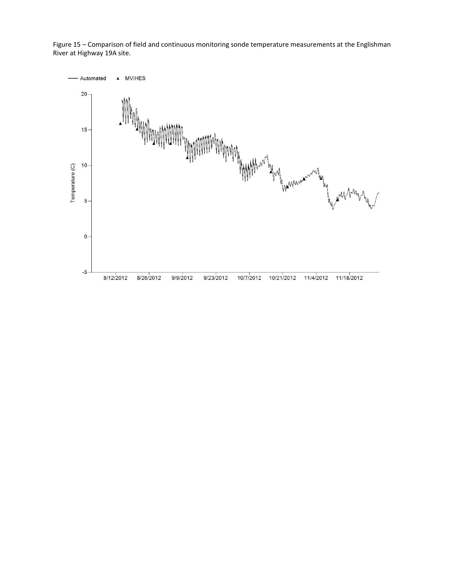Figure 15 – Comparison of field and continuous monitoring sonde temperature measurements at the Englishman River at Highway 19A site.

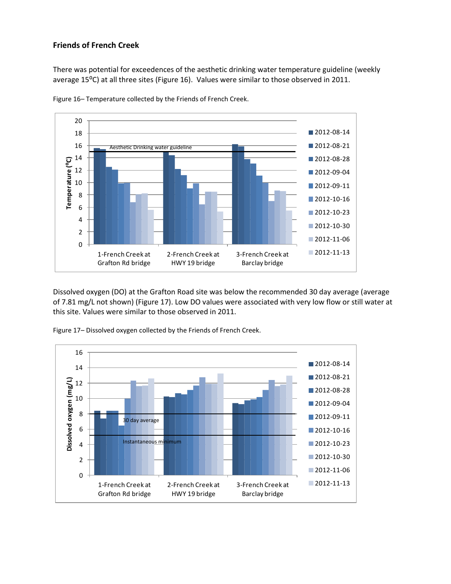#### **Friends of French Creek**

There was potential for exceedences of the aesthetic drinking water temperature guideline (weekly average 15<sup>o</sup>C) at all three sites (Figure 16). Values were similar to those observed in 2011.



Figure 16– Temperature collected by the Friends of French Creek.

Dissolved oxygen (DO) at the Grafton Road site was below the recommended 30 day average (average of 7.81 mg/L not shown) (Figure 17). Low DO values were associated with very low flow or still water at this site. Values were similar to those observed in 2011.



Figure 17– Dissolved oxygen collected by the Friends of French Creek.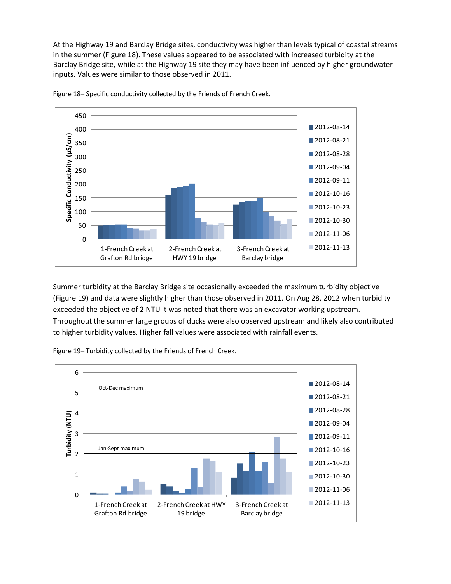At the Highway 19 and Barclay Bridge sites, conductivity was higher than levels typical of coastal streams in the summer (Figure 18). These values appeared to be associated with increased turbidity at the Barclay Bridge site, while at the Highway 19 site they may have been influenced by higher groundwater inputs. Values were similar to those observed in 2011.



Figure 18– Specific conductivity collected by the Friends of French Creek.

Summer turbidity at the Barclay Bridge site occasionally exceeded the maximum turbidity objective (Figure 19) and data were slightly higher than those observed in 2011. On Aug 28, 2012 when turbidity exceeded the objective of 2 NTU it was noted that there was an excavator working upstream. Throughout the summer large groups of ducks were also observed upstream and likely also contributed to higher turbidity values. Higher fall values were associated with rainfall events.

Figure 19– Turbidity collected by the Friends of French Creek.

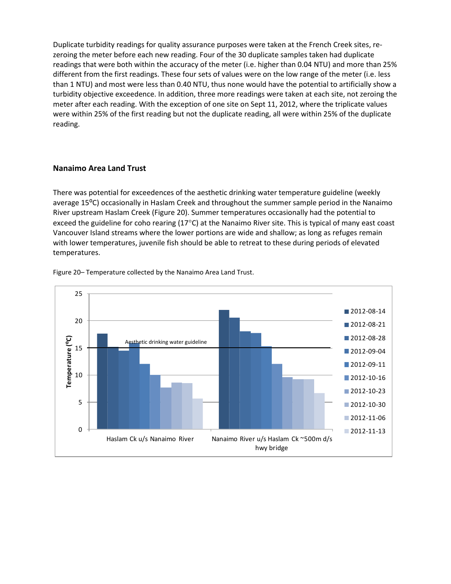Duplicate turbidity readings for quality assurance purposes were taken at the French Creek sites, rezeroing the meter before each new reading. Four of the 30 duplicate samples taken had duplicate readings that were both within the accuracy of the meter (i.e. higher than 0.04 NTU) and more than 25% different from the first readings. These four sets of values were on the low range of the meter (i.e. less than 1 NTU) and most were less than 0.40 NTU, thus none would have the potential to artificially show a turbidity objective exceedence. In addition, three more readings were taken at each site, not zeroing the meter after each reading. With the exception of one site on Sept 11, 2012, where the triplicate values were within 25% of the first reading but not the duplicate reading, all were within 25% of the duplicate reading.

#### **Nanaimo Area Land Trust**

There was potential for exceedences of the aesthetic drinking water temperature guideline (weekly average 15<sup>o</sup>C) occasionally in Haslam Creek and throughout the summer sample period in the Nanaimo River upstream Haslam Creek (Figure 20). Summer temperatures occasionally had the potential to exceed the guideline for coho rearing (17°C) at the Nanaimo River site. This is typical of many east coast Vancouver Island streams where the lower portions are wide and shallow; as long as refuges remain with lower temperatures, juvenile fish should be able to retreat to these during periods of elevated temperatures.



Figure 20– Temperature collected by the Nanaimo Area Land Trust.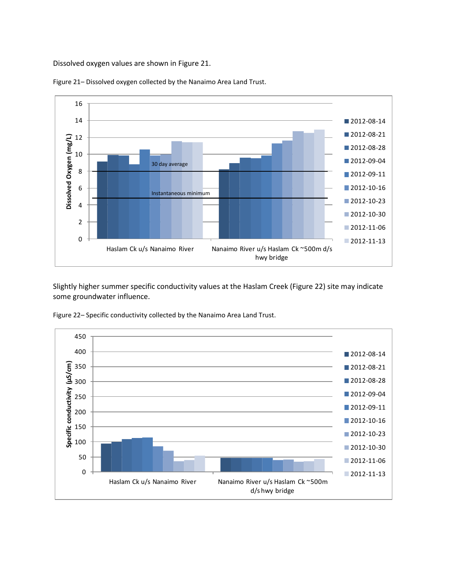Dissolved oxygen values are shown in Figure 21.



Figure 21– Dissolved oxygen collected by the Nanaimo Area Land Trust.

Slightly higher summer specific conductivity values at the Haslam Creek (Figure 22) site may indicate some groundwater influence.

Figure 22– Specific conductivity collected by the Nanaimo Area Land Trust.

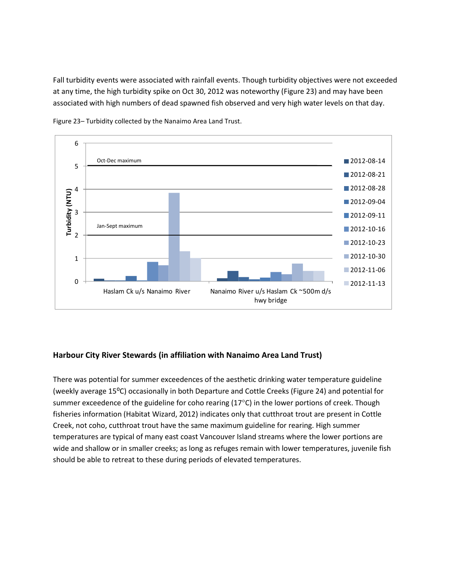Fall turbidity events were associated with rainfall events. Though turbidity objectives were not exceeded at any time, the high turbidity spike on Oct 30, 2012 was noteworthy (Figure 23) and may have been associated with high numbers of dead spawned fish observed and very high water levels on that day.



Figure 23– Turbidity collected by the Nanaimo Area Land Trust.

#### **Harbour City River Stewards (in affiliation with Nanaimo Area Land Trust)**

There was potential for summer exceedences of the aesthetic drinking water temperature guideline (weekly average 15⁰C) occasionally in both Departure and Cottle Creeks (Figure 24) and potential for summer exceedence of the guideline for coho rearing  $(17^{\circ}C)$  in the lower portions of creek. Though fisheries information (Habitat Wizard, 2012) indicates only that cutthroat trout are present in Cottle Creek, not coho, cutthroat trout have the same maximum guideline for rearing. High summer temperatures are typical of many east coast Vancouver Island streams where the lower portions are wide and shallow or in smaller creeks; as long as refuges remain with lower temperatures, juvenile fish should be able to retreat to these during periods of elevated temperatures.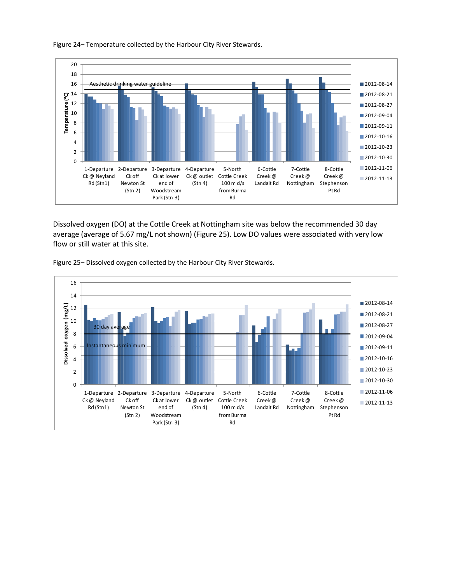

Figure 24– Temperature collected by the Harbour City River Stewards.

Dissolved oxygen (DO) at the Cottle Creek at Nottingham site was below the recommended 30 day average (average of 5.67 mg/L not shown) (Figure 25). Low DO values were associated with very low flow or still water at this site.



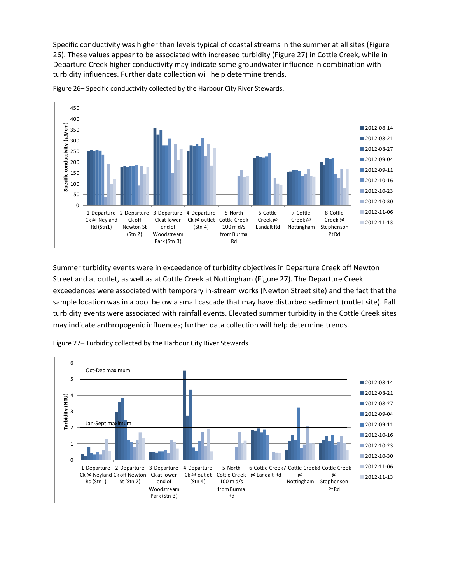Specific conductivity was higher than levels typical of coastal streams in the summer at all sites (Figure 26). These values appear to be associated with increased turbidity (Figure 27) in Cottle Creek, while in Departure Creek higher conductivity may indicate some groundwater influence in combination with turbidity influences. Further data collection will help determine trends.



Figure 26– Specific conductivity collected by the Harbour City River Stewards.

Summer turbidity events were in exceedence of turbidity objectives in Departure Creek off Newton Street and at outlet, as well as at Cottle Creek at Nottingham (Figure 27). The Departure Creek exceedences were associated with temporary in-stream works (Newton Street site) and the fact that the sample location was in a pool below a small cascade that may have disturbed sediment (outlet site). Fall turbidity events were associated with rainfall events. Elevated summer turbidity in the Cottle Creek sites may indicate anthropogenic influences; further data collection will help determine trends.



Figure 27– Turbidity collected by the Harbour City River Stewards.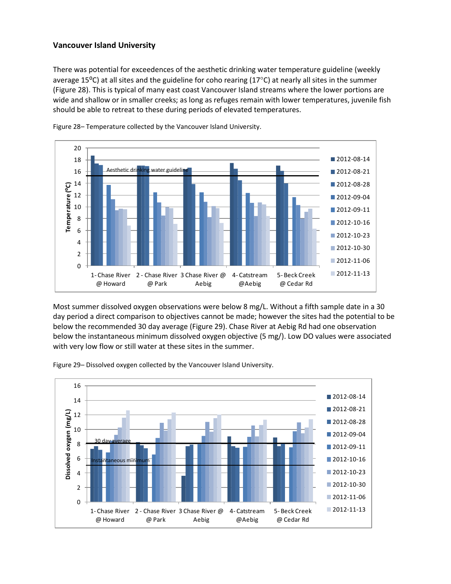#### **Vancouver Island University**

There was potential for exceedences of the aesthetic drinking water temperature guideline (weekly average 15 $^{\circ}$ C) at all sites and the guideline for coho rearing (17 $^{\circ}$ C) at nearly all sites in the summer (Figure 28). This is typical of many east coast Vancouver Island streams where the lower portions are wide and shallow or in smaller creeks; as long as refuges remain with lower temperatures, juvenile fish should be able to retreat to these during periods of elevated temperatures.



Figure 28– Temperature collected by the Vancouver Island University.

Most summer dissolved oxygen observations were below 8 mg/L. Without a fifth sample date in a 30 day period a direct comparison to objectives cannot be made; however the sites had the potential to be below the recommended 30 day average (Figure 29). Chase River at Aebig Rd had one observation below the instantaneous minimum dissolved oxygen objective (5 mg/). Low DO values were associated with very low flow or still water at these sites in the summer.

Figure 29– Dissolved oxygen collected by the Vancouver Island University.

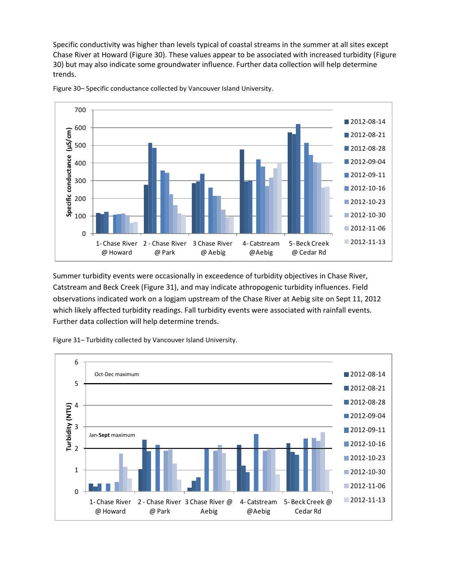Specific conductivity was higher than levels typical of coastal streams in the summer at all sites except Chase River at Howard (Figure 30). These values appear to be associated with increased turbidity (Figure 30) but may also indicate some groundwater influence. Further data collection will help determine trends.



Figure 30– Specific conductance collected by Vancouver Island University.

Summer turbidity events were occasionally in exceedence of turbidity objectives in Chase River, Catstream and Beck Creek (Figure 31), and may indicate athropogenic turbidity influences. Field observations indicated work on a logjam upstream of the Chase River at Aebig site on Sept 11, 2012 which likely affected turbidity readings. Fall turbidity events were associated with rainfall events. Further data collection will help determine trends.

Figure 31– Turbidity collected by Vancouver Island University.

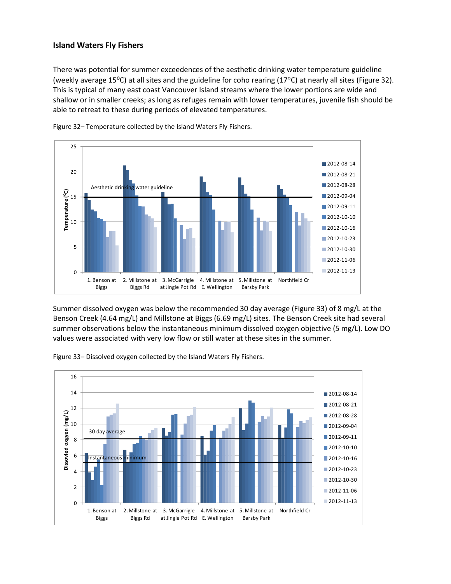#### **Island Waters Fly Fishers**

There was potential for summer exceedences of the aesthetic drinking water temperature guideline (weekly average 15<sup>o</sup>C) at all sites and the guideline for coho rearing (17<sup>o</sup>C) at nearly all sites (Figure 32). This is typical of many east coast Vancouver Island streams where the lower portions are wide and shallow or in smaller creeks; as long as refuges remain with lower temperatures, juvenile fish should be able to retreat to these during periods of elevated temperatures.



Figure 32– Temperature collected by the Island Waters Fly Fishers.

Summer dissolved oxygen was below the recommended 30 day average (Figure 33) of 8 mg/L at the Benson Creek (4.64 mg/L) and Millstone at Biggs (6.69 mg/L) sites. The Benson Creek site had several summer observations below the instantaneous minimum dissolved oxygen objective (5 mg/L). Low DO values were associated with very low flow or still water at these sites in the summer.



Figure 33– Dissolved oxygen collected by the Island Waters Fly Fishers.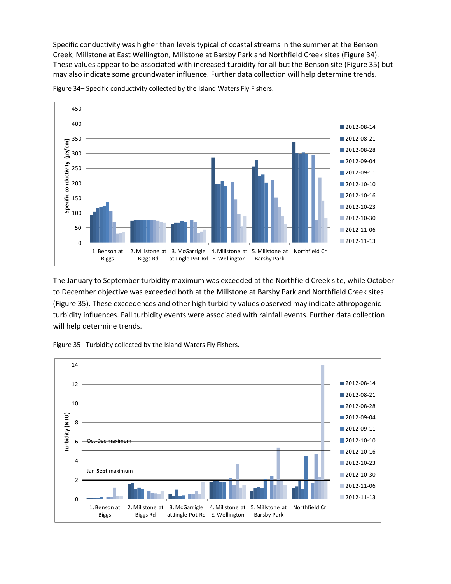Specific conductivity was higher than levels typical of coastal streams in the summer at the Benson Creek, Millstone at East Wellington, Millstone at Barsby Park and Northfield Creek sites (Figure 34). These values appear to be associated with increased turbidity for all but the Benson site (Figure 35) but may also indicate some groundwater influence. Further data collection will help determine trends.



Figure 34– Specific conductivity collected by the Island Waters Fly Fishers.

The January to September turbidity maximum was exceeded at the Northfield Creek site, while October to December objective was exceeded both at the Millstone at Barsby Park and Northfield Creek sites (Figure 35). These exceedences and other high turbidity values observed may indicate athropogenic turbidity influences. Fall turbidity events were associated with rainfall events. Further data collection will help determine trends.

Figure 35– Turbidity collected by the Island Waters Fly Fishers.

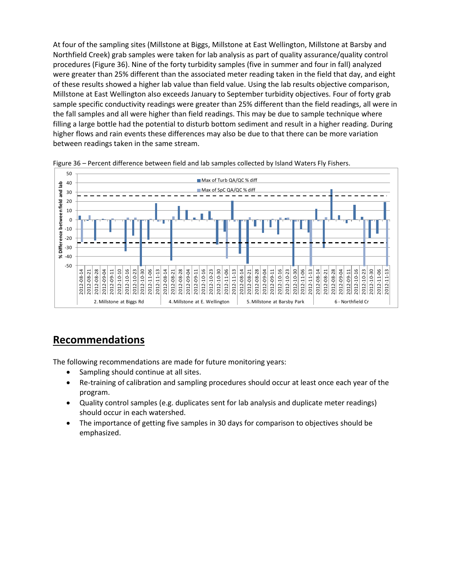At four of the sampling sites (Millstone at Biggs, Millstone at East Wellington, Millstone at Barsby and Northfield Creek) grab samples were taken for lab analysis as part of quality assurance/quality control procedures (Figure 36). Nine of the forty turbidity samples (five in summer and four in fall) analyzed were greater than 25% different than the associated meter reading taken in the field that day, and eight of these results showed a higher lab value than field value. Using the lab results objective comparison, Millstone at East Wellington also exceeds January to September turbidity objectives. Four of forty grab sample specific conductivity readings were greater than 25% different than the field readings, all were in the fall samples and all were higher than field readings. This may be due to sample technique where filling a large bottle had the potential to disturb bottom sediment and result in a higher reading. During higher flows and rain events these differences may also be due to that there can be more variation between readings taken in the same stream.





## **Recommendations**

The following recommendations are made for future monitoring years:

- Sampling should continue at all sites.
- Re-training of calibration and sampling procedures should occur at least once each year of the program.
- Quality control samples (e.g. duplicates sent for lab analysis and duplicate meter readings) should occur in each watershed.
- The importance of getting five samples in 30 days for comparison to objectives should be emphasized.